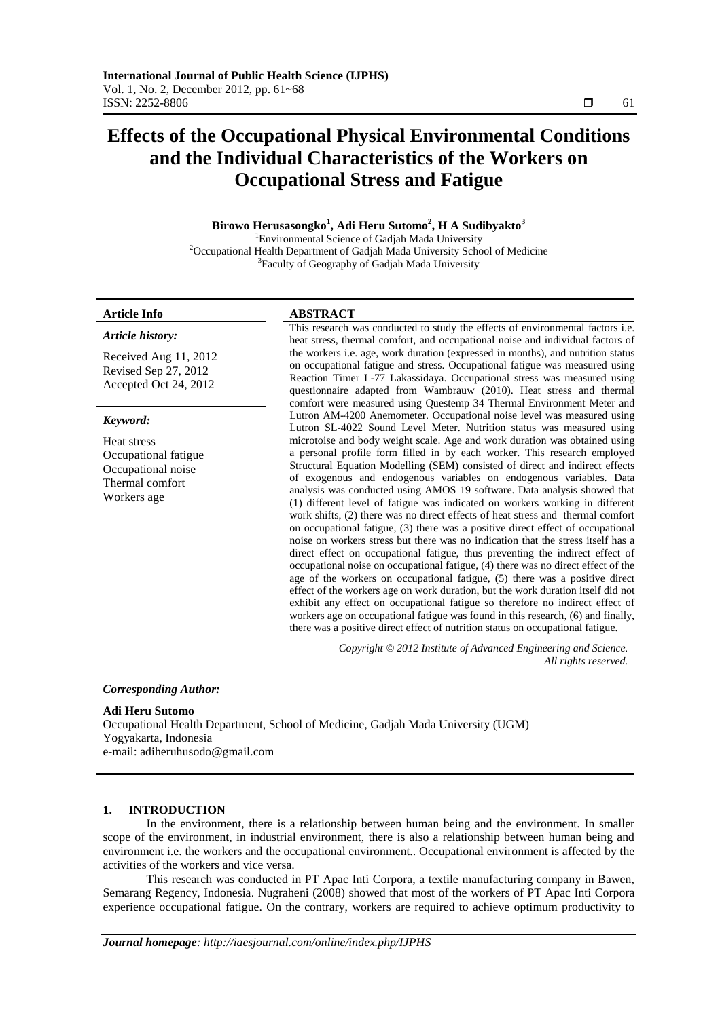# **Effects of the Occupational Physical Environmental Conditions and the Individual Characteristics of the Workers on Occupational Stress and Fatigue**

# **Birowo Herusasongko<sup>1</sup> , Adi Heru Sutomo<sup>2</sup> , H A Sudibyakto<sup>3</sup>** <sup>1</sup>Environmental Science of Gadjah Mada University

<sup>2</sup>Occupational Health Department of Gadjah Mada University School of Medicine <sup>3</sup>Faculty of Geography of Gadjah Mada University

*Article history:* 

Received Aug 11, 2012 Revised Sep 27, 2012 Accepted Oct 24, 2012

### *Keyword:*

Heat stress Occupational fatigue Occupational noise Thermal comfort Workers age

#### **Article Info ABSTRACT**

This research was conducted to study the effects of environmental factors i.e. heat stress, thermal comfort, and occupational noise and individual factors of the workers i.e. age, work duration (expressed in months), and nutrition status on occupational fatigue and stress. Occupational fatigue was measured using Reaction Timer L-77 Lakassidaya. Occupational stress was measured using questionnaire adapted from Wambrauw (2010). Heat stress and thermal comfort were measured using Questemp 34 Thermal Environment Meter and Lutron AM-4200 Anemometer. Occupational noise level was measured using Lutron SL-4022 Sound Level Meter. Nutrition status was measured using microtoise and body weight scale. Age and work duration was obtained using a personal profile form filled in by each worker. This research employed Structural Equation Modelling (SEM) consisted of direct and indirect effects of exogenous and endogenous variables on endogenous variables. Data analysis was conducted using AMOS 19 software. Data analysis showed that (1) different level of fatigue was indicated on workers working in different work shifts, (2) there was no direct effects of heat stress and thermal comfort on occupational fatigue, (3) there was a positive direct effect of occupational noise on workers stress but there was no indication that the stress itself has a direct effect on occupational fatigue, thus preventing the indirect effect of occupational noise on occupational fatigue, (4) there was no direct effect of the age of the workers on occupational fatigue, (5) there was a positive direct effect of the workers age on work duration, but the work duration itself did not exhibit any effect on occupational fatigue so therefore no indirect effect of workers age on occupational fatigue was found in this research, (6) and finally, there was a positive direct effect of nutrition status on occupational fatigue.

> *Copyright © 2012 Institute of Advanced Engineering and Science. All rights reserved.*

*Corresponding Author:* 

#### **Adi Heru Sutomo**

Occupational Health Department, School of Medicine, Gadjah Mada University (UGM) Yogyakarta, Indonesia e-mail: adiheruhusodo@gmail.com

#### **1. INTRODUCTION**

In the environment, there is a relationship between human being and the environment. In smaller scope of the environment, in industrial environment, there is also a relationship between human being and environment i.e. the workers and the occupational environment.. Occupational environment is affected by the activities of the workers and vice versa.

This research was conducted in PT Apac Inti Corpora, a textile manufacturing company in Bawen, Semarang Regency, Indonesia. Nugraheni (2008) showed that most of the workers of PT Apac Inti Corpora experience occupational fatigue. On the contrary, workers are required to achieve optimum productivity to

Ī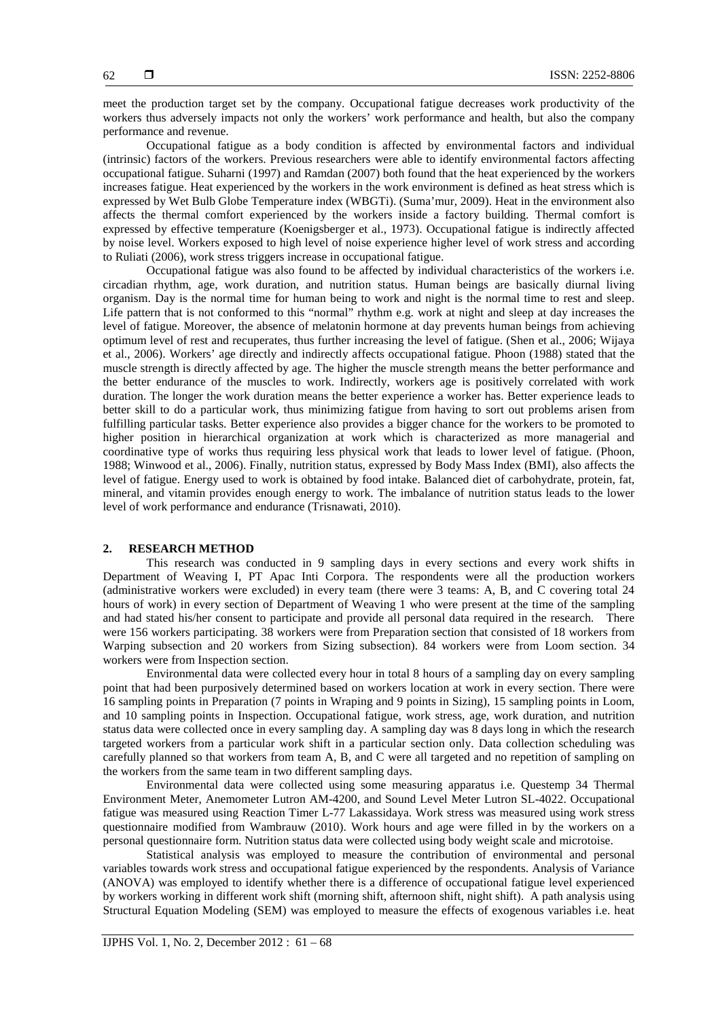meet the production target set by the company. Occupational fatigue decreases work productivity of the workers thus adversely impacts not only the workers' work performance and health, but also the company performance and revenue.

Occupational fatigue as a body condition is affected by environmental factors and individual (intrinsic) factors of the workers. Previous researchers were able to identify environmental factors affecting occupational fatigue. Suharni (1997) and Ramdan (2007) both found that the heat experienced by the workers increases fatigue. Heat experienced by the workers in the work environment is defined as heat stress which is expressed by Wet Bulb Globe Temperature index (WBGTi). (Suma'mur, 2009). Heat in the environment also affects the thermal comfort experienced by the workers inside a factory building. Thermal comfort is expressed by effective temperature (Koenigsberger et al., 1973). Occupational fatigue is indirectly affected by noise level. Workers exposed to high level of noise experience higher level of work stress and according to Ruliati (2006), work stress triggers increase in occupational fatigue.

Occupational fatigue was also found to be affected by individual characteristics of the workers i.e. circadian rhythm, age, work duration, and nutrition status. Human beings are basically diurnal living organism. Day is the normal time for human being to work and night is the normal time to rest and sleep. Life pattern that is not conformed to this "normal" rhythm e.g. work at night and sleep at day increases the level of fatigue. Moreover, the absence of melatonin hormone at day prevents human beings from achieving optimum level of rest and recuperates, thus further increasing the level of fatigue. (Shen et al., 2006; Wijaya et al., 2006). Workers' age directly and indirectly affects occupational fatigue. Phoon (1988) stated that the muscle strength is directly affected by age. The higher the muscle strength means the better performance and the better endurance of the muscles to work. Indirectly, workers age is positively correlated with work duration. The longer the work duration means the better experience a worker has. Better experience leads to better skill to do a particular work, thus minimizing fatigue from having to sort out problems arisen from fulfilling particular tasks. Better experience also provides a bigger chance for the workers to be promoted to higher position in hierarchical organization at work which is characterized as more managerial and coordinative type of works thus requiring less physical work that leads to lower level of fatigue. (Phoon, 1988; Winwood et al., 2006). Finally, nutrition status, expressed by Body Mass Index (BMI), also affects the level of fatigue. Energy used to work is obtained by food intake. Balanced diet of carbohydrate, protein, fat, mineral, and vitamin provides enough energy to work. The imbalance of nutrition status leads to the lower level of work performance and endurance (Trisnawati, 2010).

# **2. RESEARCH METHOD**

This research was conducted in 9 sampling days in every sections and every work shifts in Department of Weaving I, PT Apac Inti Corpora. The respondents were all the production workers (administrative workers were excluded) in every team (there were 3 teams: A, B, and C covering total 24 hours of work) in every section of Department of Weaving 1 who were present at the time of the sampling and had stated his/her consent to participate and provide all personal data required in the research. There were 156 workers participating. 38 workers were from Preparation section that consisted of 18 workers from Warping subsection and 20 workers from Sizing subsection). 84 workers were from Loom section. 34 workers were from Inspection section.

Environmental data were collected every hour in total 8 hours of a sampling day on every sampling point that had been purposively determined based on workers location at work in every section. There were 16 sampling points in Preparation (7 points in Wraping and 9 points in Sizing), 15 sampling points in Loom, and 10 sampling points in Inspection. Occupational fatigue, work stress, age, work duration, and nutrition status data were collected once in every sampling day. A sampling day was 8 days long in which the research targeted workers from a particular work shift in a particular section only. Data collection scheduling was carefully planned so that workers from team A, B, and C were all targeted and no repetition of sampling on the workers from the same team in two different sampling days.

Environmental data were collected using some measuring apparatus i.e. Questemp 34 Thermal Environment Meter, Anemometer Lutron AM-4200, and Sound Level Meter Lutron SL-4022. Occupational fatigue was measured using Reaction Timer L-77 Lakassidaya. Work stress was measured using work stress questionnaire modified from Wambrauw (2010). Work hours and age were filled in by the workers on a personal questionnaire form. Nutrition status data were collected using body weight scale and microtoise.

Statistical analysis was employed to measure the contribution of environmental and personal variables towards work stress and occupational fatigue experienced by the respondents. Analysis of Variance (ANOVA) was employed to identify whether there is a difference of occupational fatigue level experienced by workers working in different work shift (morning shift, afternoon shift, night shift). A path analysis using Structural Equation Modeling (SEM) was employed to measure the effects of exogenous variables i.e. heat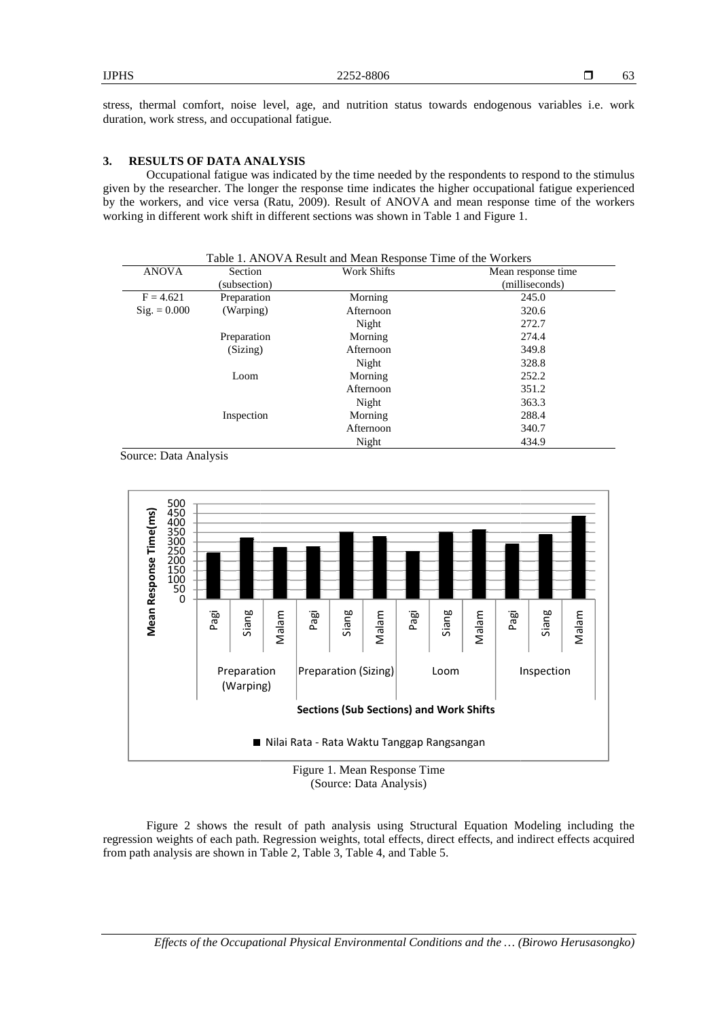stress, thermal comfort, noise level, age, and nutrition status towards endogenous variables i.e. work duration, work stress, and occupational fatigue.

# **3. RESULTS OF DATA ANALYSIS**

Occupational fatigue was indicated by the time needed by the respondents to respond to the s stimulus given by the researcher. The longer the response time indicates the higher occupational fatigue experienced by the workers, and vice versa (Ratu, 2009). Result of ANOVA and mean response time of the workers working in different work shift in different sections was shown in Table 1 and Figure 1.

| <b>ANOVA</b>          | Section      | <b>Work Shifts</b> | Mean response time |
|-----------------------|--------------|--------------------|--------------------|
|                       | (subsection) |                    | (milliseconds)     |
| $F = 4.621$           | Preparation  | Morning            | 245.0              |
| $\text{Sig.} = 0.000$ | (Warping)    | Afternoon          | 320.6              |
|                       |              | Night              | 272.7              |
|                       | Preparation  | Morning            | 274.4              |
|                       | (Sizing)     | Afternoon          | 349.8              |
|                       |              | Night              | 328.8              |
|                       | Loom         | Morning            | 252.2              |
|                       |              | Afternoon          | 351.2              |
|                       |              | Night              | 363.3              |
|                       | Inspection   | Morning            | 288.4              |
|                       |              | Afternoon          | 340.7              |
|                       |              | Night              | 434.9              |

Source: Data Analysis



(Source: Data Analysis)

Figure 2 shows the result of path analysis using Structural Equation Modeling including the regression weights of each path. Regression weights, total effects, direct effects, and indirect effects acquired from path analysis are shown in Table 2, Table 3, Table 4, and Table 5.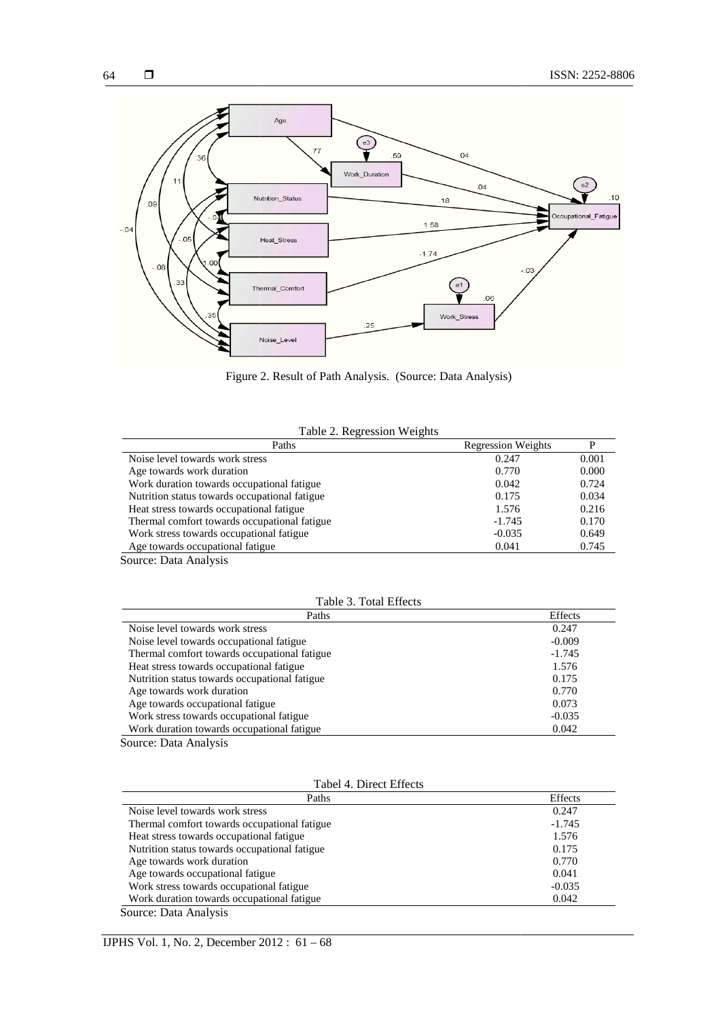



Figure 2 2. Result of Path Analysis. (Source: Data Analysis)

| Paths                                                       | <b>Regression Weights</b> |       |
|-------------------------------------------------------------|---------------------------|-------|
| Noise level towards work stress                             | 0.247                     | 0.001 |
| Age towards work duration                                   | 0.770                     | 0.000 |
| Work duration towards occupational fatigue                  | 0.042                     | 0.724 |
| Nutrition status towards occupational fatigue               | 0.175                     | 0.034 |
| Heat stress towards occupational fatigue                    | 1.576                     | 0.216 |
| Thermal comfort towards occupational fatigue                | $-1.745$                  | 0.170 |
| Work stress towards occupational fatigue                    | $-0.035$                  | 0.649 |
| Age towards occupational fatigue                            | 0.041                     | 0.745 |
| $\sim$ $\sim$<br>$\mathbf{r}$ . $\mathbf{r}$ . $\mathbf{r}$ |                           |       |

Source: Data Analysis

# Table 3. Total Effects

| Paths                                         | Effects  |
|-----------------------------------------------|----------|
| Noise level towards work stress               | 0.247    |
| Noise level towards occupational fatigue      | $-0.009$ |
| Thermal comfort towards occupational fatigue  | $-1.745$ |
| Heat stress towards occupational fatigue      | 1.576    |
| Nutrition status towards occupational fatigue | 0.175    |
| Age towards work duration                     | 0.770    |
| Age towards occupational fatigue              | 0.073    |
| Work stress towards occupational fatigue      | $-0.035$ |
| Work duration towards occupational fatigue    | 0.042    |

Source: Data Analysis

| Tabel 4. Direct Effects |  |
|-------------------------|--|
|-------------------------|--|

| Paths                                         | Effects  |
|-----------------------------------------------|----------|
| Noise level towards work stress               | 0.247    |
| Thermal comfort towards occupational fatigue  | $-1.745$ |
| Heat stress towards occupational fatigue      | 1.576    |
| Nutrition status towards occupational fatigue | 0.175    |
| Age towards work duration                     | 0.770    |
| Age towards occupational fatigue              | 0.041    |
| Work stress towards occupational fatigue      | $-0.035$ |
| Work duration towards occupational fatigue    | 0.042    |
| Course Data Analysis                          |          |

Source: Data Analysis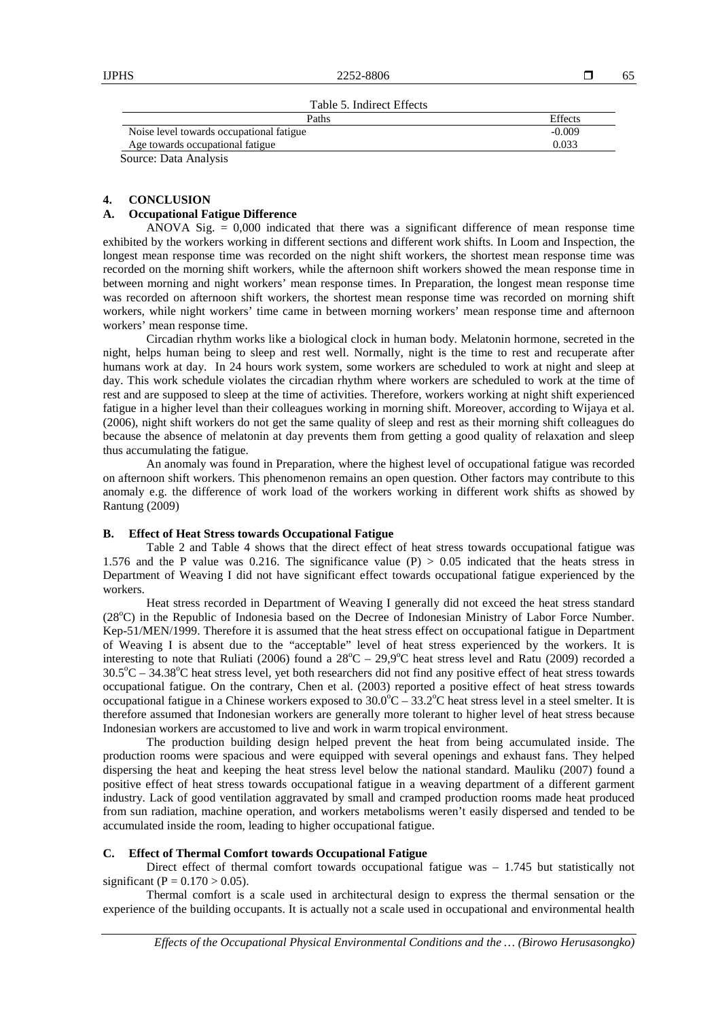Table 5. Indirect Effects

| Paths                                    | <b>Effects</b> |
|------------------------------------------|----------------|
| Noise level towards occupational fatigue | $-0.009$       |
| Age towards occupational fatigue         | 0.033          |
| Source: Data Analysis                    |                |

#### **4. CONCLUSION**

#### **A. Occupational Fatigue Difference**

ANOVA Sig.  $= 0,000$  indicated that there was a significant difference of mean response time exhibited by the workers working in different sections and different work shifts. In Loom and Inspection, the longest mean response time was recorded on the night shift workers, the shortest mean response time was recorded on the morning shift workers, while the afternoon shift workers showed the mean response time in between morning and night workers' mean response times. In Preparation, the longest mean response time was recorded on afternoon shift workers, the shortest mean response time was recorded on morning shift workers, while night workers' time came in between morning workers' mean response time and afternoon workers' mean response time.

Circadian rhythm works like a biological clock in human body. Melatonin hormone, secreted in the night, helps human being to sleep and rest well. Normally, night is the time to rest and recuperate after humans work at day. In 24 hours work system, some workers are scheduled to work at night and sleep at day. This work schedule violates the circadian rhythm where workers are scheduled to work at the time of rest and are supposed to sleep at the time of activities. Therefore, workers working at night shift experienced fatigue in a higher level than their colleagues working in morning shift. Moreover, according to Wijaya et al. (2006), night shift workers do not get the same quality of sleep and rest as their morning shift colleagues do because the absence of melatonin at day prevents them from getting a good quality of relaxation and sleep thus accumulating the fatigue.

An anomaly was found in Preparation, where the highest level of occupational fatigue was recorded on afternoon shift workers. This phenomenon remains an open question. Other factors may contribute to this anomaly e.g. the difference of work load of the workers working in different work shifts as showed by Rantung (2009)

#### **B. Effect of Heat Stress towards Occupational Fatigue**

Table 2 and Table 4 shows that the direct effect of heat stress towards occupational fatigue was 1.576 and the P value was 0.216. The significance value  $(P) > 0.05$  indicated that the heats stress in Department of Weaving I did not have significant effect towards occupational fatigue experienced by the workers.

Heat stress recorded in Department of Weaving I generally did not exceed the heat stress standard (28<sup>o</sup>C) in the Republic of Indonesia based on the Decree of Indonesian Ministry of Labor Force Number. Kep-51/MEN/1999. Therefore it is assumed that the heat stress effect on occupational fatigue in Department of Weaving I is absent due to the "acceptable" level of heat stress experienced by the workers. It is interesting to note that Ruliati (2006) found a  $28^{\circ}$ C – 29,9 $^{\circ}$ C heat stress level and Ratu (2009) recorded a  $30.5^{\circ}$ C – 34.38 $^{\circ}$ C heat stress level, yet both researchers did not find any positive effect of heat stress towards occupational fatigue. On the contrary, Chen et al. (2003) reported a positive effect of heat stress towards occupational fatigue in a Chinese workers exposed to  $30.0^{\circ}C - 33.2^{\circ}C$  heat stress level in a steel smelter. It is therefore assumed that Indonesian workers are generally more tolerant to higher level of heat stress because Indonesian workers are accustomed to live and work in warm tropical environment.

The production building design helped prevent the heat from being accumulated inside. The production rooms were spacious and were equipped with several openings and exhaust fans. They helped dispersing the heat and keeping the heat stress level below the national standard. Mauliku (2007) found a positive effect of heat stress towards occupational fatigue in a weaving department of a different garment industry. Lack of good ventilation aggravated by small and cramped production rooms made heat produced from sun radiation, machine operation, and workers metabolisms weren't easily dispersed and tended to be accumulated inside the room, leading to higher occupational fatigue.

# **C. Effect of Thermal Comfort towards Occupational Fatigue**

Direct effect of thermal comfort towards occupational fatigue was – 1.745 but statistically not significant (P =  $0.170 > 0.05$ ).

Thermal comfort is a scale used in architectural design to express the thermal sensation or the experience of the building occupants. It is actually not a scale used in occupational and environmental health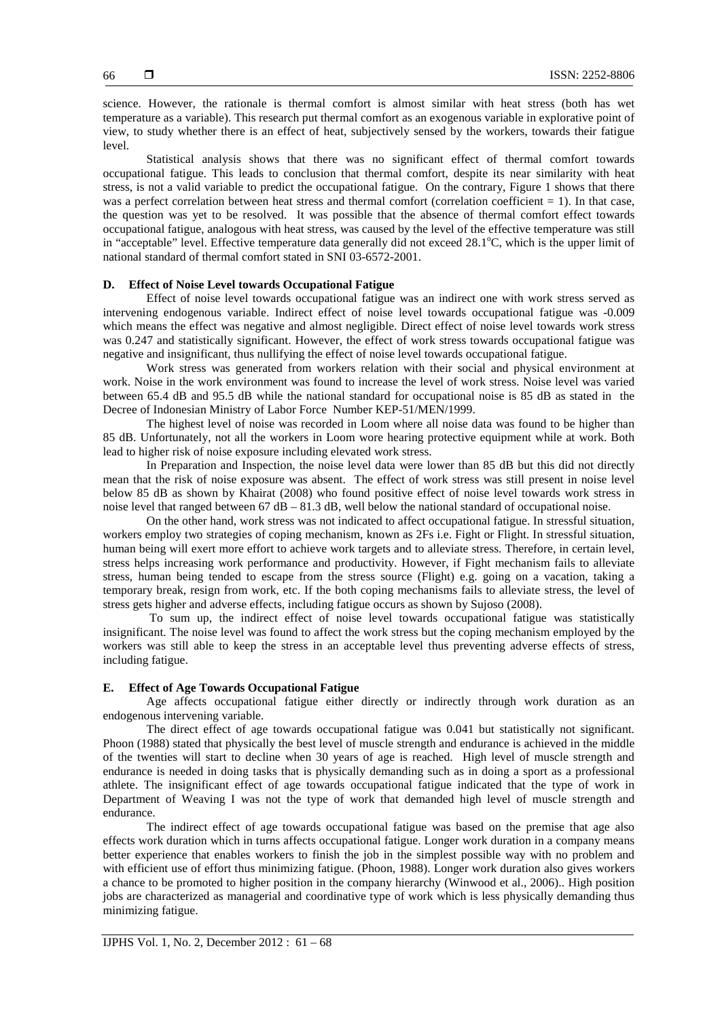science. However, the rationale is thermal comfort is almost similar with heat stress (both has wet temperature as a variable). This research put thermal comfort as an exogenous variable in explorative point of view, to study whether there is an effect of heat, subjectively sensed by the workers, towards their fatigue level.

Statistical analysis shows that there was no significant effect of thermal comfort towards occupational fatigue. This leads to conclusion that thermal comfort, despite its near similarity with heat stress, is not a valid variable to predict the occupational fatigue. On the contrary, Figure 1 shows that there was a perfect correlation between heat stress and thermal comfort (correlation coefficient = 1). In that case, the question was yet to be resolved. It was possible that the absence of thermal comfort effect towards occupational fatigue, analogous with heat stress, was caused by the level of the effective temperature was still in "acceptable" level. Effective temperature data generally did not exceed  $28.1^{\circ}$ C, which is the upper limit of national standard of thermal comfort stated in SNI 03-6572-2001.

# **D. Effect of Noise Level towards Occupational Fatigue**

Effect of noise level towards occupational fatigue was an indirect one with work stress served as intervening endogenous variable. Indirect effect of noise level towards occupational fatigue was -0.009 which means the effect was negative and almost negligible. Direct effect of noise level towards work stress was 0.247 and statistically significant. However, the effect of work stress towards occupational fatigue was negative and insignificant, thus nullifying the effect of noise level towards occupational fatigue.

Work stress was generated from workers relation with their social and physical environment at work. Noise in the work environment was found to increase the level of work stress. Noise level was varied between 65.4 dB and 95.5 dB while the national standard for occupational noise is 85 dB as stated in the Decree of Indonesian Ministry of Labor Force Number KEP-51/MEN/1999.

The highest level of noise was recorded in Loom where all noise data was found to be higher than 85 dB. Unfortunately, not all the workers in Loom wore hearing protective equipment while at work. Both lead to higher risk of noise exposure including elevated work stress.

In Preparation and Inspection, the noise level data were lower than 85 dB but this did not directly mean that the risk of noise exposure was absent. The effect of work stress was still present in noise level below 85 dB as shown by Khairat (2008) who found positive effect of noise level towards work stress in noise level that ranged between  $67$  dB  $- 81.3$  dB, well below the national standard of occupational noise.

On the other hand, work stress was not indicated to affect occupational fatigue. In stressful situation, workers employ two strategies of coping mechanism, known as 2Fs i.e. Fight or Flight. In stressful situation, human being will exert more effort to achieve work targets and to alleviate stress. Therefore, in certain level, stress helps increasing work performance and productivity. However, if Fight mechanism fails to alleviate stress, human being tended to escape from the stress source (Flight) e.g. going on a vacation, taking a temporary break, resign from work, etc. If the both coping mechanisms fails to alleviate stress, the level of stress gets higher and adverse effects, including fatigue occurs as shown by Sujoso (2008).

 To sum up, the indirect effect of noise level towards occupational fatigue was statistically insignificant. The noise level was found to affect the work stress but the coping mechanism employed by the workers was still able to keep the stress in an acceptable level thus preventing adverse effects of stress, including fatigue.

#### **E. Effect of Age Towards Occupational Fatigue**

Age affects occupational fatigue either directly or indirectly through work duration as an endogenous intervening variable.

The direct effect of age towards occupational fatigue was 0.041 but statistically not significant. Phoon (1988) stated that physically the best level of muscle strength and endurance is achieved in the middle of the twenties will start to decline when 30 years of age is reached. High level of muscle strength and endurance is needed in doing tasks that is physically demanding such as in doing a sport as a professional athlete. The insignificant effect of age towards occupational fatigue indicated that the type of work in Department of Weaving I was not the type of work that demanded high level of muscle strength and endurance.

The indirect effect of age towards occupational fatigue was based on the premise that age also effects work duration which in turns affects occupational fatigue. Longer work duration in a company means better experience that enables workers to finish the job in the simplest possible way with no problem and with efficient use of effort thus minimizing fatigue. (Phoon, 1988). Longer work duration also gives workers a chance to be promoted to higher position in the company hierarchy (Winwood et al., 2006).. High position jobs are characterized as managerial and coordinative type of work which is less physically demanding thus minimizing fatigue.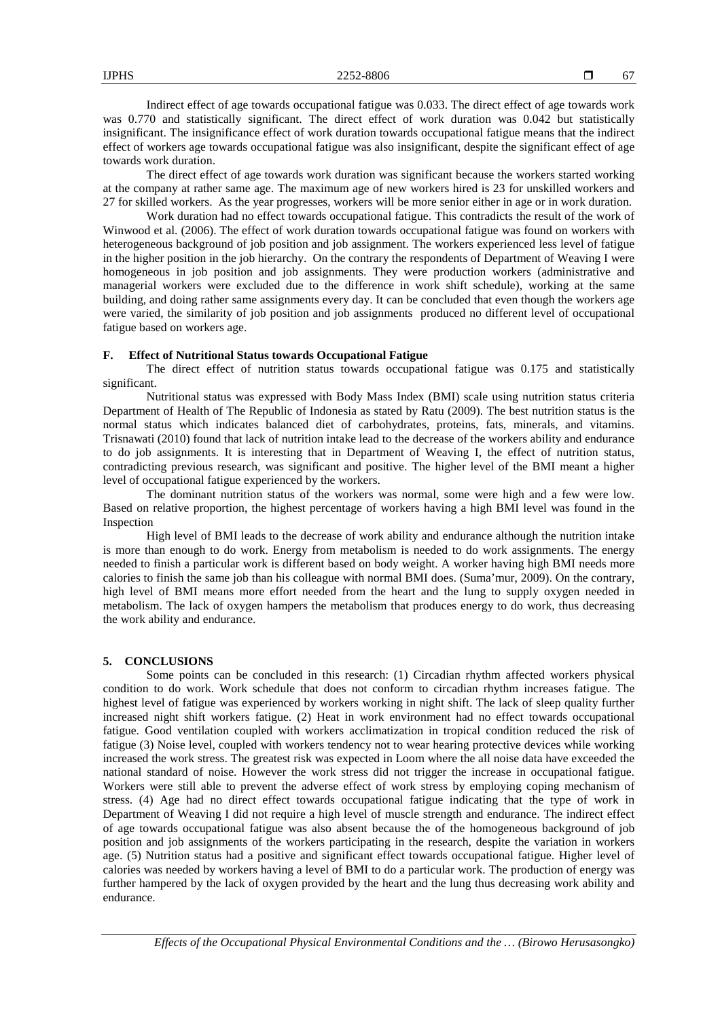Indirect effect of age towards occupational fatigue was 0.033. The direct effect of age towards work was 0.770 and statistically significant. The direct effect of work duration was 0.042 but statistically insignificant. The insignificance effect of work duration towards occupational fatigue means that the indirect effect of workers age towards occupational fatigue was also insignificant, despite the significant effect of age towards work duration.

The direct effect of age towards work duration was significant because the workers started working at the company at rather same age. The maximum age of new workers hired is 23 for unskilled workers and 27 for skilled workers. As the year progresses, workers will be more senior either in age or in work duration.

Work duration had no effect towards occupational fatigue. This contradicts the result of the work of Winwood et al. (2006). The effect of work duration towards occupational fatigue was found on workers with heterogeneous background of job position and job assignment. The workers experienced less level of fatigue in the higher position in the job hierarchy. On the contrary the respondents of Department of Weaving I were homogeneous in job position and job assignments. They were production workers (administrative and managerial workers were excluded due to the difference in work shift schedule), working at the same building, and doing rather same assignments every day. It can be concluded that even though the workers age were varied, the similarity of job position and job assignments produced no different level of occupational fatigue based on workers age.

#### **F. Effect of Nutritional Status towards Occupational Fatigue**

The direct effect of nutrition status towards occupational fatigue was 0.175 and statistically significant.

Nutritional status was expressed with Body Mass Index (BMI) scale using nutrition status criteria Department of Health of The Republic of Indonesia as stated by Ratu (2009). The best nutrition status is the normal status which indicates balanced diet of carbohydrates, proteins, fats, minerals, and vitamins. Trisnawati (2010) found that lack of nutrition intake lead to the decrease of the workers ability and endurance to do job assignments. It is interesting that in Department of Weaving I, the effect of nutrition status, contradicting previous research, was significant and positive. The higher level of the BMI meant a higher level of occupational fatigue experienced by the workers.

The dominant nutrition status of the workers was normal, some were high and a few were low. Based on relative proportion, the highest percentage of workers having a high BMI level was found in the Inspection

High level of BMI leads to the decrease of work ability and endurance although the nutrition intake is more than enough to do work. Energy from metabolism is needed to do work assignments. The energy needed to finish a particular work is different based on body weight. A worker having high BMI needs more calories to finish the same job than his colleague with normal BMI does. (Suma'mur, 2009). On the contrary, high level of BMI means more effort needed from the heart and the lung to supply oxygen needed in metabolism. The lack of oxygen hampers the metabolism that produces energy to do work, thus decreasing the work ability and endurance.

#### **5. CONCLUSIONS**

Some points can be concluded in this research: (1) Circadian rhythm affected workers physical condition to do work. Work schedule that does not conform to circadian rhythm increases fatigue. The highest level of fatigue was experienced by workers working in night shift. The lack of sleep quality further increased night shift workers fatigue. (2) Heat in work environment had no effect towards occupational fatigue. Good ventilation coupled with workers acclimatization in tropical condition reduced the risk of fatigue (3) Noise level, coupled with workers tendency not to wear hearing protective devices while working increased the work stress. The greatest risk was expected in Loom where the all noise data have exceeded the national standard of noise. However the work stress did not trigger the increase in occupational fatigue. Workers were still able to prevent the adverse effect of work stress by employing coping mechanism of stress. (4) Age had no direct effect towards occupational fatigue indicating that the type of work in Department of Weaving I did not require a high level of muscle strength and endurance. The indirect effect of age towards occupational fatigue was also absent because the of the homogeneous background of job position and job assignments of the workers participating in the research, despite the variation in workers age. (5) Nutrition status had a positive and significant effect towards occupational fatigue. Higher level of calories was needed by workers having a level of BMI to do a particular work. The production of energy was further hampered by the lack of oxygen provided by the heart and the lung thus decreasing work ability and endurance.